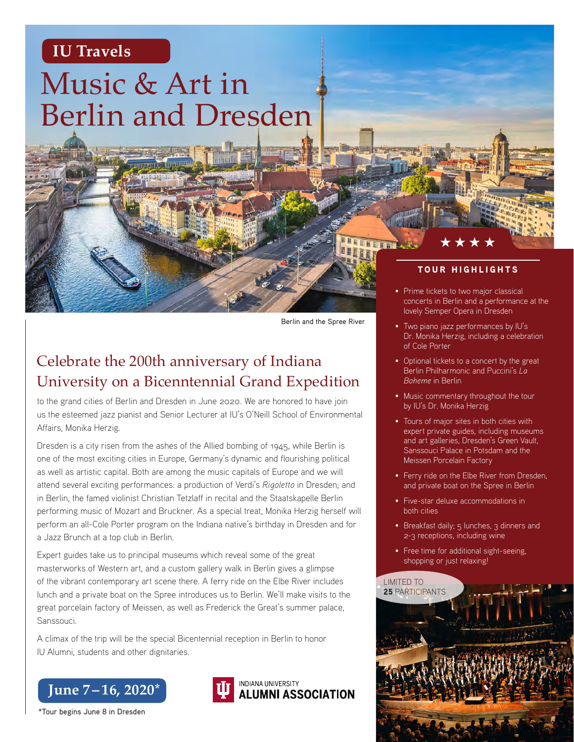## **IU Travels**

# Music & Art in Berlin and Dresden

Berlin and the Spree River

## Celebrate the 200th anniversary of Indiana University on a Bicenntennial Grand Expedition

to the grand cities of Berlin and Dresden in June 2020. We are honored to have join us the esteemed jazz pianist and Senior Lecturer at IU's O'Neill School of Environmental Affairs, Monika Herzig.

Dresden is a city risen from the ashes of the Allied bombing of 1945, while Berlin is one of the most exciting cities in Europe, Germany's dynamic and flourishing political as well as artistic capital. Both are among the music capitals of Europe and we will attend several exciting performances: a production of Verdi's *Rigoletto* in Dresden; and in Berlin, the famed violinist Christian Tetzlaff in recital and the Staatskapelle Berlin performing music of Mozart and Bruckner. As a special treat, Monika Herzig herself will perform an all-Cole Porter program on the Indiana native's birthday in Dresden and for a Jazz Brunch at a top club in Berlin.

Expert guides take us to principal museums which reveal some of the great masterworks of Western art, and a custom gallery walk in Berlin gives a glimpse of the vibrant contemporary art scene there. A ferry ride on the Elbe River includes lunch and a private boat on the Spree introduces us to Berlin. We'll make visits to the great porcelain factory of Meissen, as well as Frederick the Great's summer palace, Sanssouci.

A climax of the trip will be the special Bicentennial reception in Berlin to honor IU Alumni, students and other dignitaries.





#### TOUR HIGHLIGHTS

\*\*\*\*

- Prime tickets to two major classical concerts in Berlin and a performance at the lovely Semper Opera in Dresden
- Two piano jazz performances by IU's Dr. Monika Herzig, including a celebration of Cole Porter
- Optional tickets to a concert by the great Berlin Philharmonic and Puccini's *La Boheme* in Berlin
- Music commentary throughout the tour by IU's Dr. Monika Herzig
- Tours of major sites in both cities with expert private guides, including museums and art galleries, Dresden's Green Vault, Sanssouci Palace in Potsdam and the Meissen Porcelain Factory
- Ferry ride on the Elbe River from Dresden, and private boat on the Spree in Berlin
- Five-star deluxe accommodations in both cities
- Breakfast daily; 5 lunches, 3 dinners and 2-3 receptions, including wine
- Free time for additional sight-seeing, shopping or just relaxing!



\*Tour begins June 8 in Dresden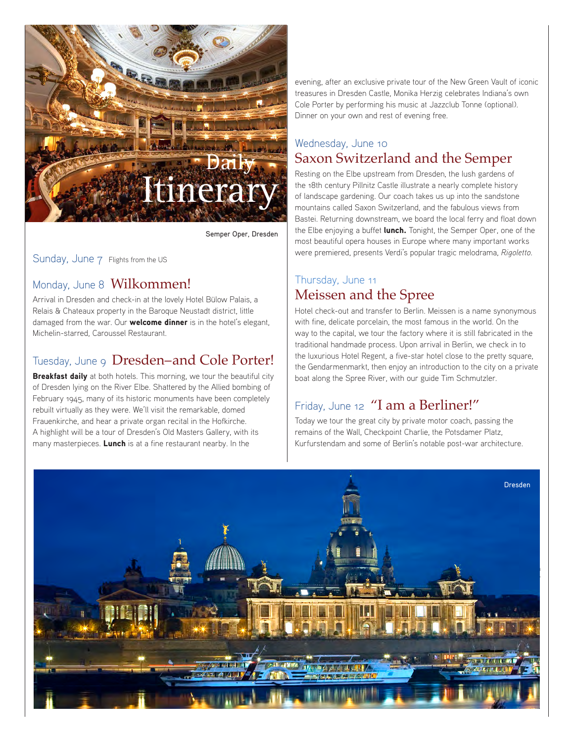

Semper Oper, Dresden

Sunday, June 7 Flights from the US

#### Monday, June 8 Wilkommen!

Arrival in Dresden and check-in at the lovely Hotel Bülow Palais, a Relais & Chateaux property in the Baroque Neustadt district, little damaged from the war. Our **welcome dinner** is in the hotel's elegant, Michelin-starred, Caroussel Restaurant.

#### Tuesday, June 9 Dresden-and Cole Porter!

**Breakfast daily** at both hotels. This morning, we tour the beautiful city of Dresden lying on the River Elbe. Shattered by the Allied bombing of February 1945, many of its historic monuments have been completely rebuilt virtually as they were. We'll visit the remarkable, domed Frauenkirche, and hear a private organ recital in the Hofkirche. A highlight will be a tour of Dresden's Old Masters Gallery, with its many masterpieces. Lunch is at a fine restaurant nearby. In the

evening, after an exclusive private tour of the New Green Vault of iconic treasures in Dresden Castle, Monika Herzig celebrates Indiana's own Cole Porter by performing his music at Jazzclub Tonne (optional). Dinner on your own and rest of evening free.

#### Wednesday, June 10 Saxon Switzerland and the Semper

Resting on the Elbe upstream from Dresden, the lush gardens of the 18th century Pillnitz Castle illustrate a nearly complete history of landscape gardening. Our coach takes us up into the sandstone mountains called Saxon Switzerland, and the fabulous views from Bastei. Returning downstream, we board the local ferry and float down the Elbe enjoying a buffet lunch. Tonight, the Semper Oper, one of the most beautiful opera houses in Europe where many important works were premiered, presents Verdi's popular tragic melodrama, *Rigoletto.*

#### Thursday, June 11 Meissen and the Spree

Hotel check-out and transfer to Berlin. Meissen is a name synonymous with fine, delicate porcelain, the most famous in the world. On the way to the capital, we tour the factory where it is still fabricated in the traditional handmade process. Upon arrival in Berlin, we check in to the luxurious Hotel Regent, a five-star hotel close to the pretty square, the Gendarmenmarkt, then enjoy an introduction to the city on a private boat along the Spree River, with our guide Tim Schmutzler.

## Friday, June 12 "I am a Berliner!"

Today we tour the great city by private motor coach, passing the remains of the Wall, Checkpoint Charlie, the Potsdamer Platz, Kurfurstendam and some of Berlin's notable post-war architecture.

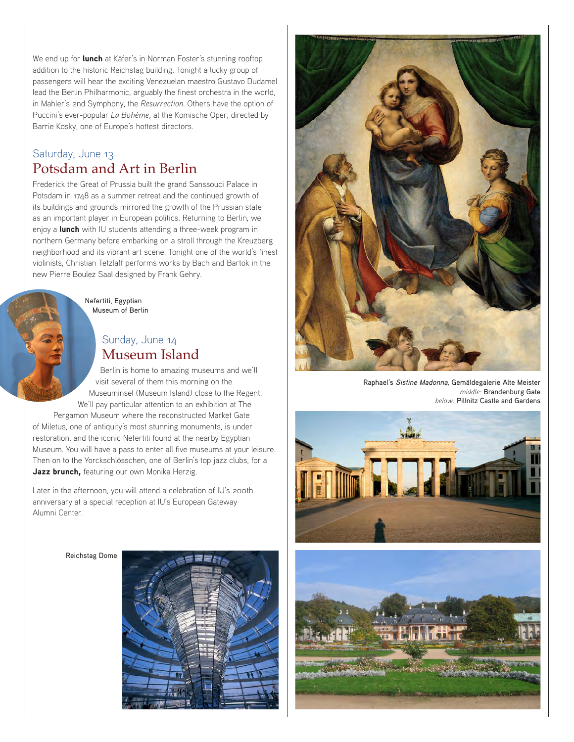We end up for **lunch** at Käfer's in Norman Foster's stunning rooftop addition to the historic Reichstag building. Tonight a lucky group of passengers will hear the exciting Venezuelan maestro Gustavo Dudamel lead the Berlin Philharmonic, arguably the finest orchestra in the world, in Mahler's 2nd Symphony, the *Resurrection.* Others have the option of Puccini's ever-popular *La Bohème,* at the Komische Oper, directed by Barrie Kosky, one of Europe's hottest directors.

#### Saturday, June 13 Potsdam and Art in Berlin

Frederick the Great of Prussia built the grand Sanssouci Palace in Potsdam in 1748 as a summer retreat and the continued growth of its buildings and grounds mirrored the growth of the Prussian state as an important player in European politics. Returning to Berlin, we enjoy a lunch with IU students attending a three-week program in northern Germany before embarking on a stroll through the Kreuzberg neighborhood and its vibrant art scene. Tonight one of the world's finest violinists, Christian Tetzlaff performs works by Bach and Bartok in the new Pierre Boulez Saal designed by Frank Gehry.

> Nefertiti, Egyptian Museum of Berlin

#### Sunday, June 14 Museum Island

Berlin is home to amazing museums and we'll visit several of them this morning on the Museuminsel (Museum Island) close to the Regent. We'll pay particular attention to an exhibition at The Pergamon Museum where the reconstructed Market Gate

of Miletus, one of antiquity's most stunning monuments, is under restoration, and the iconic Nefertiti found at the nearby Egyptian Museum. You will have a pass to enter all five museums at your leisure. Then on to the Yorckschlösschen, one of Berlin's top jazz clubs, for a Jazz brunch, featuring our own Monika Herzig.

Later in the afternoon, you will attend a celebration of IU's 200th anniversary at a special reception at IU's European Gateway Alumni Center.

Reichstag Dome





Raphael's Sistine Madonna, Gemäldegalerie Alte Meister *middle:* Brandenburg Gate *below:* Pillnitz Castle and Gardens



![](_page_2_Picture_13.jpeg)